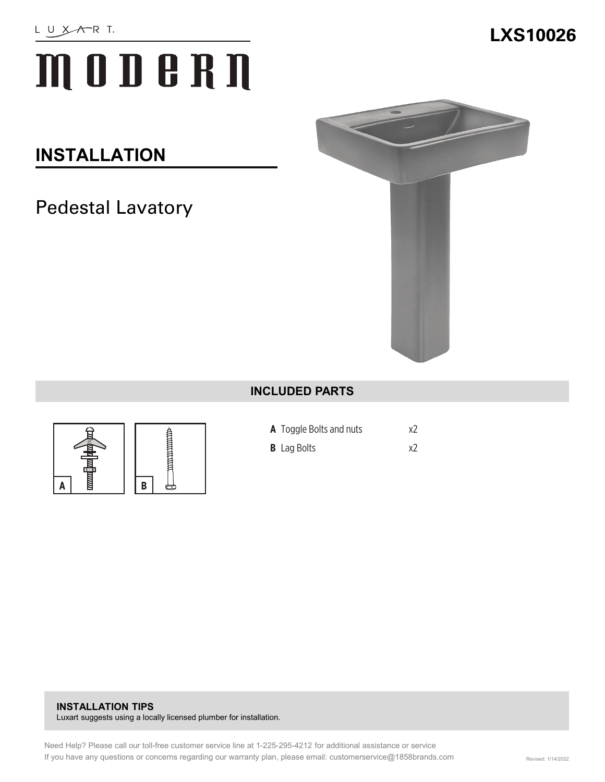# **MODERN**

## **INSTALLATION**

# Pedestal Lavatory



#### **INCLUDED PARTS**





**A** Toggle Bolts and nuts x2 **B** Lag Bolts x2

#### **INSTALLATION TIPS**  Luxart suggests using a locally licensed plumber for installation.

### **LXS10026**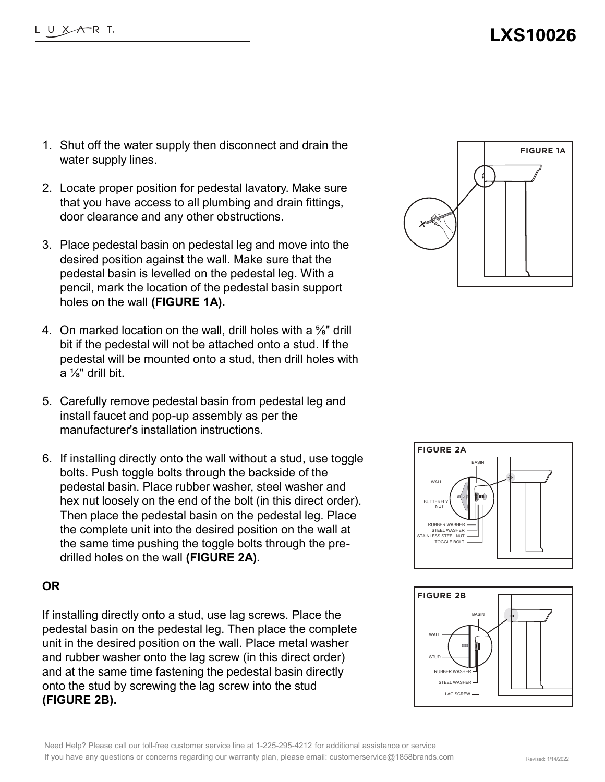- 1. Shut off the water supply then disconnect and drain the water supply lines.
- 2. Locate proper position for pedestal lavatory. Make sure that you have access to all plumbing and drain fittings, door clearance and any other obstructions.
- 3. Place pedestal basin on pedestal leg and move into the desired position against the wall. Make sure that the pedestal basin is levelled on the pedestal leg. With a pencil, mark the location of the pedestal basin support holes on the wall **(FIGURE 1A).**
- 4. On marked location on the wall, drill holes with a ⅝" drill bit if the pedestal will not be attached onto a stud. If the pedestal will be mounted onto a stud, then drill holes with a  $\frac{1}{\sqrt{2}}$ " drill bit.
- 5. Carefully remove pedestal basin from pedestal leg and install faucet and pop-up assembly as per the manufacturer's installation instructions.
- 6. If installing directly onto the wall without a stud, use toggle bolts. Push toggle bolts through the backside of the pedestal basin. Place rubber washer, steel washer and hex nut loosely on the end of the bolt (in this direct order). Then place the pedestal basin on the pedestal leg. Place the complete unit into the desired position on the wall at the same time pushing the toggle bolts through the predrilled holes on the wall **(FIGURE 2A).**

#### **OR**

If installing directly onto a stud, use lag screws. Place the pedestal basin on the pedestal leg. Then place the complete unit in the desired position on the wall. Place metal washer and rubber washer onto the lag screw (in this direct order) and at the same time fastening the pedestal basin directly onto the stud by screwing the lag screw into the stud **(FIGURE 2B).**





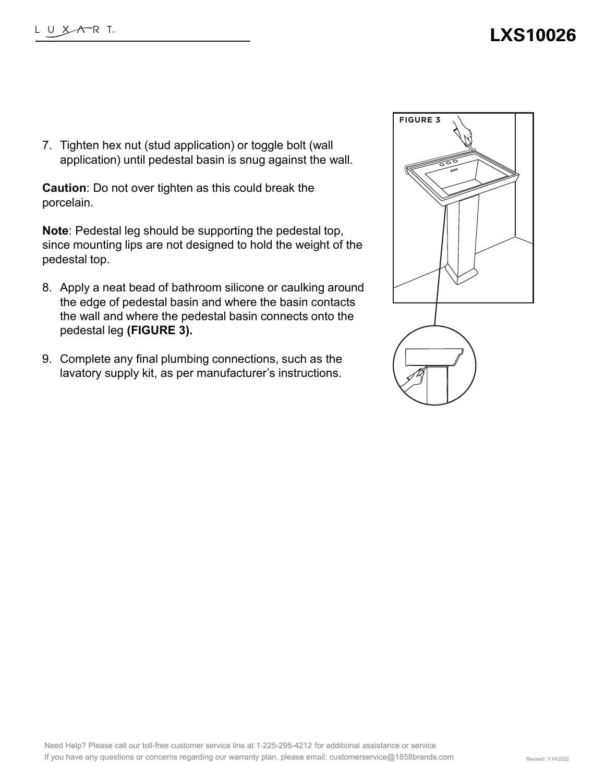## **LXS10026**

7. Tighten hex nut (stud application) or toggle bolt (wall application) until pedestal basin is snug against the wall.

**Caution**: Do not over tighten as this could break the porcelain.

**Note**: Pedestal leg should be supporting the pedestal top, since mounting lips are not designed to hold the weight of the pedestal top.

- 8. Apply a neat bead of bathroom silicone or caulking around the edge of pedestal basin and where the basin contacts the wall and where the pedestal basin connects onto the pedestal leg **(FIGURE 3).**
- 9. Complete any final plumbing connections, such as the lavatory supply kit, as per manufacturer's instructions.